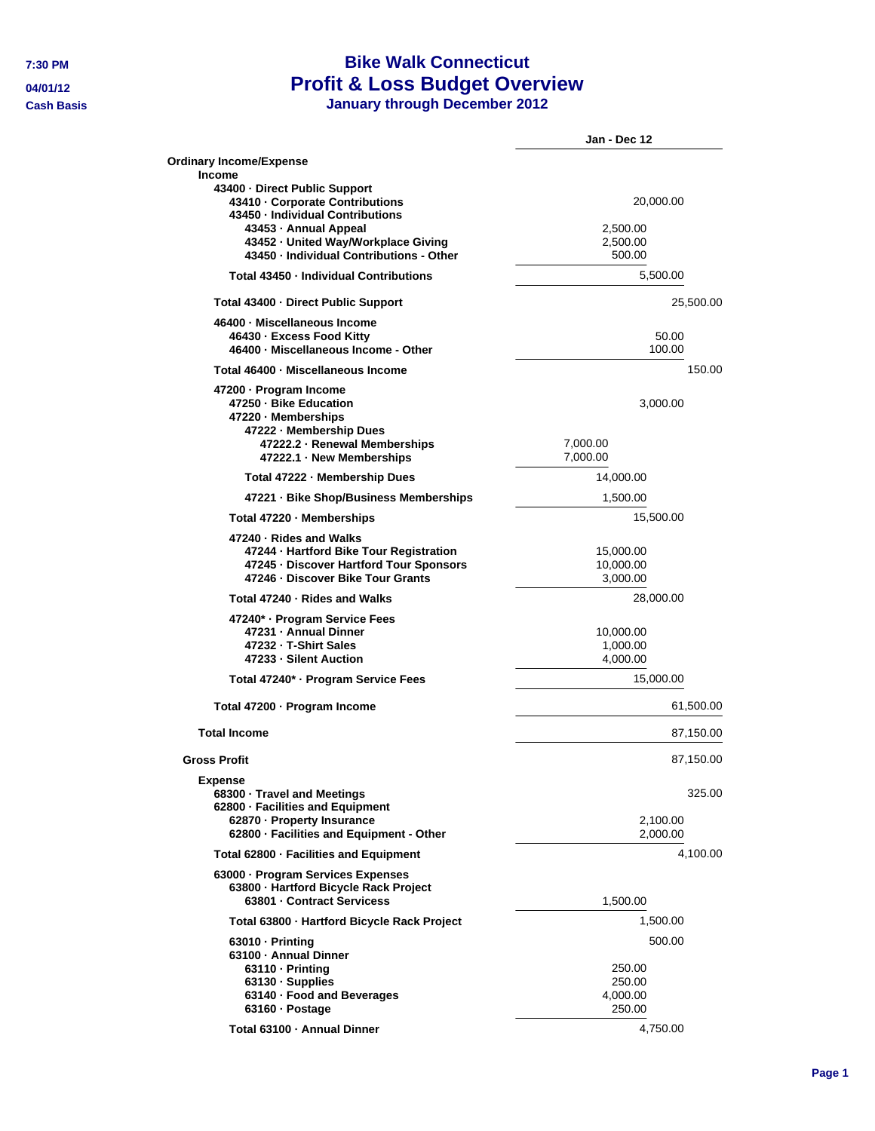## **7:30 PM Bike Walk Connecticut 04/01/12 Profit & Loss Budget Overview**

**Cash Basis January through December 2012**

|                                                                                                                                                                                                                            | Jan - Dec 12                                     |
|----------------------------------------------------------------------------------------------------------------------------------------------------------------------------------------------------------------------------|--------------------------------------------------|
| <b>Ordinary Income/Expense</b>                                                                                                                                                                                             |                                                  |
| Income<br>43400 - Direct Public Support<br>43410 - Corporate Contributions<br>43450 · Individual Contributions<br>43453 - Annual Appeal<br>43452 - United Way/Workplace Giving<br>43450 - Individual Contributions - Other | 20,000.00<br>2,500.00<br>2,500.00<br>500.00      |
| Total 43450 - Individual Contributions                                                                                                                                                                                     | 5,500.00                                         |
| Total 43400 - Direct Public Support                                                                                                                                                                                        | 25,500.00                                        |
| 46400 - Miscellaneous Income<br>46430 · Excess Food Kitty<br>46400 · Miscellaneous Income - Other                                                                                                                          | 50.00<br>100.00                                  |
| Total 46400 - Miscellaneous Income                                                                                                                                                                                         | 150.00                                           |
| 47200 · Program Income<br>47250 - Bike Education<br>47220 - Memberships<br>47222 - Membership Dues<br>47222.2 - Renewal Memberships<br>47222.1 · New Memberships                                                           | 3,000.00<br>7,000.00<br>7,000.00                 |
| Total 47222 - Membership Dues                                                                                                                                                                                              | 14,000.00                                        |
| 47221 · Bike Shop/Business Memberships                                                                                                                                                                                     | 1,500.00                                         |
| Total 47220 · Memberships                                                                                                                                                                                                  | 15,500.00                                        |
| 47240 - Rides and Walks<br>47244 - Hartford Bike Tour Registration<br>47245 - Discover Hartford Tour Sponsors<br>47246 - Discover Bike Tour Grants                                                                         | 15,000.00<br>10,000.00<br>3,000.00               |
| Total 47240 - Rides and Walks                                                                                                                                                                                              | 28,000.00                                        |
| 47240* - Program Service Fees<br>47231 - Annual Dinner<br>47232 - T-Shirt Sales<br>47233 - Silent Auction                                                                                                                  | 10,000.00<br>1,000.00<br>4,000.00                |
| Total 47240* · Program Service Fees                                                                                                                                                                                        | 15,000.00                                        |
| Total 47200 · Program Income                                                                                                                                                                                               | 61,500.00                                        |
| <b>Total Income</b>                                                                                                                                                                                                        | 87,150.00                                        |
| <b>Gross Profit</b>                                                                                                                                                                                                        | 87,150.00                                        |
| Expense<br>68300 Travel and Meetings<br>62800 - Facilities and Equipment<br>62870 - Property Insurance<br>62800 - Facilities and Equipment - Other                                                                         | 325.00<br>2,100.00<br>2,000.00                   |
| Total 62800 - Facilities and Equipment                                                                                                                                                                                     | 4,100.00                                         |
| 63000 - Program Services Expenses<br>63800 - Hartford Bicycle Rack Project<br>63801 - Contract Servicess                                                                                                                   | 1,500.00                                         |
| Total 63800 - Hartford Bicycle Rack Project                                                                                                                                                                                | 1,500.00                                         |
| $63010 - Printing$<br>63100 - Annual Dinner<br>$63110 - Printing$<br>63130 · Supplies<br>63140 · Food and Beverages<br>63160 - Postage                                                                                     | 500.00<br>250.00<br>250.00<br>4,000.00<br>250.00 |
| Total 63100 - Annual Dinner                                                                                                                                                                                                | 4,750.00                                         |